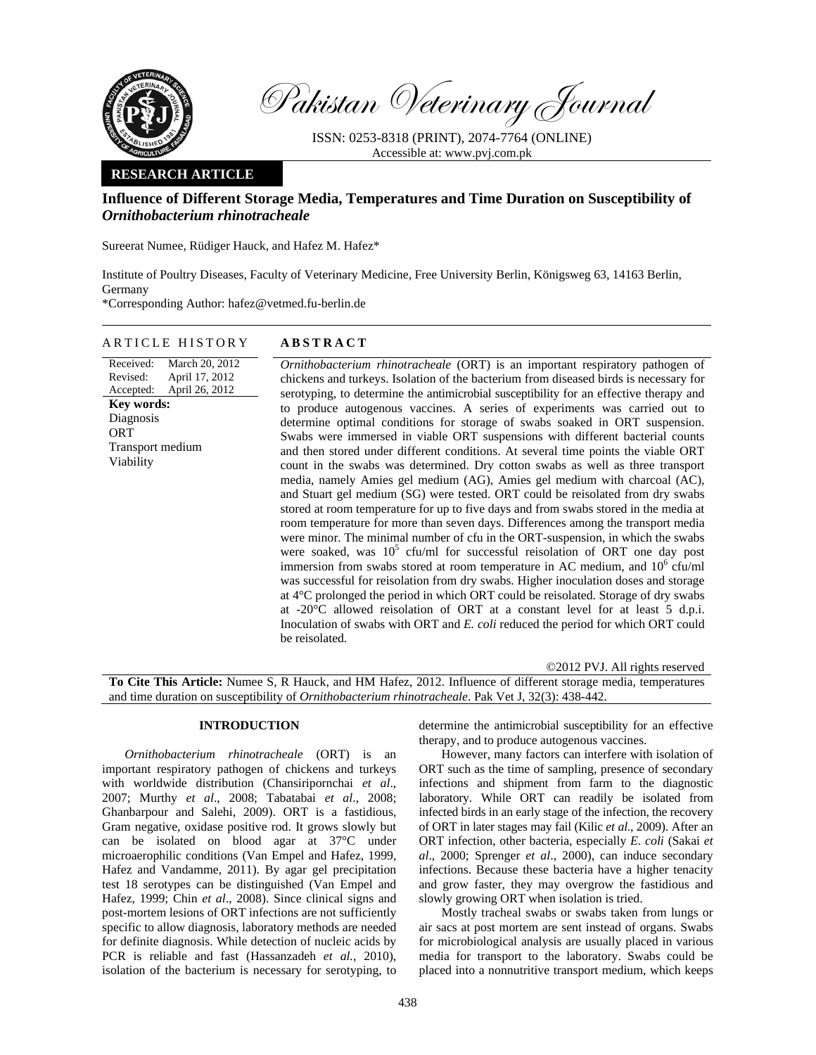

Pakistan Veterinary Journal

ISSN: 0253-8318 (PRINT), 2074-7764 (ONLINE) Accessible at: www.pvj.com.pk

## **RESEARCH ARTICLE**

# **Influence of Different Storage Media, Temperatures and Time Duration on Susceptibility of**  *Ornithobacterium rhinotracheale*

Sureerat Numee, Rüdiger Hauck, and Hafez M. Hafez\*

Institute of Poultry Diseases, Faculty of Veterinary Medicine, Free University Berlin, Königsweg 63, 14163 Berlin, Germany

\*Corresponding Author: hafez@vetmed.fu-berlin.de

#### ARTICLE HISTORY **ABSTRACT**

Received: Revised: Accepted: March 20, 2012 April 17, 2012 April 26, 2012 **Key words:**  Diagnosis **ORT** Transport medium Viability

*Ornithobacterium rhinotracheale* (ORT) is an important respiratory pathogen of chickens and turkeys. Isolation of the bacterium from diseased birds is necessary for serotyping, to determine the antimicrobial susceptibility for an effective therapy and to produce autogenous vaccines. A series of experiments was carried out to determine optimal conditions for storage of swabs soaked in ORT suspension. Swabs were immersed in viable ORT suspensions with different bacterial counts and then stored under different conditions. At several time points the viable ORT count in the swabs was determined. Dry cotton swabs as well as three transport media, namely Amies gel medium (AG), Amies gel medium with charcoal (AC), and Stuart gel medium (SG) were tested. ORT could be reisolated from dry swabs stored at room temperature for up to five days and from swabs stored in the media at room temperature for more than seven days. Differences among the transport media were minor. The minimal number of cfu in the ORT-suspension, in which the swabs were soaked, was  $10^5$  cfu/ml for successful reisolation of ORT one day post immersion from swabs stored at room temperature in AC medium, and  $10^6$  cfu/ml was successful for reisolation from dry swabs. Higher inoculation doses and storage at 4°C prolonged the period in which ORT could be reisolated. Storage of dry swabs at -20°C allowed reisolation of ORT at a constant level for at least 5 d.p.i. Inoculation of swabs with ORT and *E. coli* reduced the period for which ORT could be reisolated.

©2012 PVJ. All rights reserved

**To Cite This Article:** Numee S, R Hauck, and HM Hafez, 2012. Influence of different storage media, temperatures and time duration on susceptibility of *Ornithobacterium rhinotracheale*. Pak Vet J, 32(3): 438-442.

### **INTRODUCTION**

*Ornithobacterium rhinotracheale* (ORT) is an important respiratory pathogen of chickens and turkeys with worldwide distribution (Chansiripornchai *et al*., 2007; Murthy *et al*., 2008; Tabatabai *et al*., 2008; Ghanbarpour and Salehi, 2009). ORT is a fastidious, Gram negative, oxidase positive rod. It grows slowly but can be isolated on blood agar at 37°C under microaerophilic conditions (Van Empel and Hafez, 1999, Hafez and Vandamme, 2011). By agar gel precipitation test 18 serotypes can be distinguished (Van Empel and Hafez, 1999; Chin *et al*., 2008). Since clinical signs and post-mortem lesions of ORT infections are not sufficiently specific to allow diagnosis, laboratory methods are needed for definite diagnosis. While detection of nucleic acids by PCR is reliable and fast (Hassanzadeh *et al.*, 2010), isolation of the bacterium is necessary for serotyping, to

determine the antimicrobial susceptibility for an effective therapy, and to produce autogenous vaccines.

However, many factors can interfere with isolation of ORT such as the time of sampling, presence of secondary infections and shipment from farm to the diagnostic laboratory. While ORT can readily be isolated from infected birds in an early stage of the infection, the recovery of ORT in later stages may fail (Kilic *et al.*, 2009). After an ORT infection, other bacteria, especially *E. coli* (Sakai *et al*., 2000; Sprenger *et al*., 2000), can induce secondary infections. Because these bacteria have a higher tenacity and grow faster, they may overgrow the fastidious and slowly growing ORT when isolation is tried.

Mostly tracheal swabs or swabs taken from lungs or air sacs at post mortem are sent instead of organs. Swabs for microbiological analysis are usually placed in various media for transport to the laboratory. Swabs could be placed into a nonnutritive transport medium, which keeps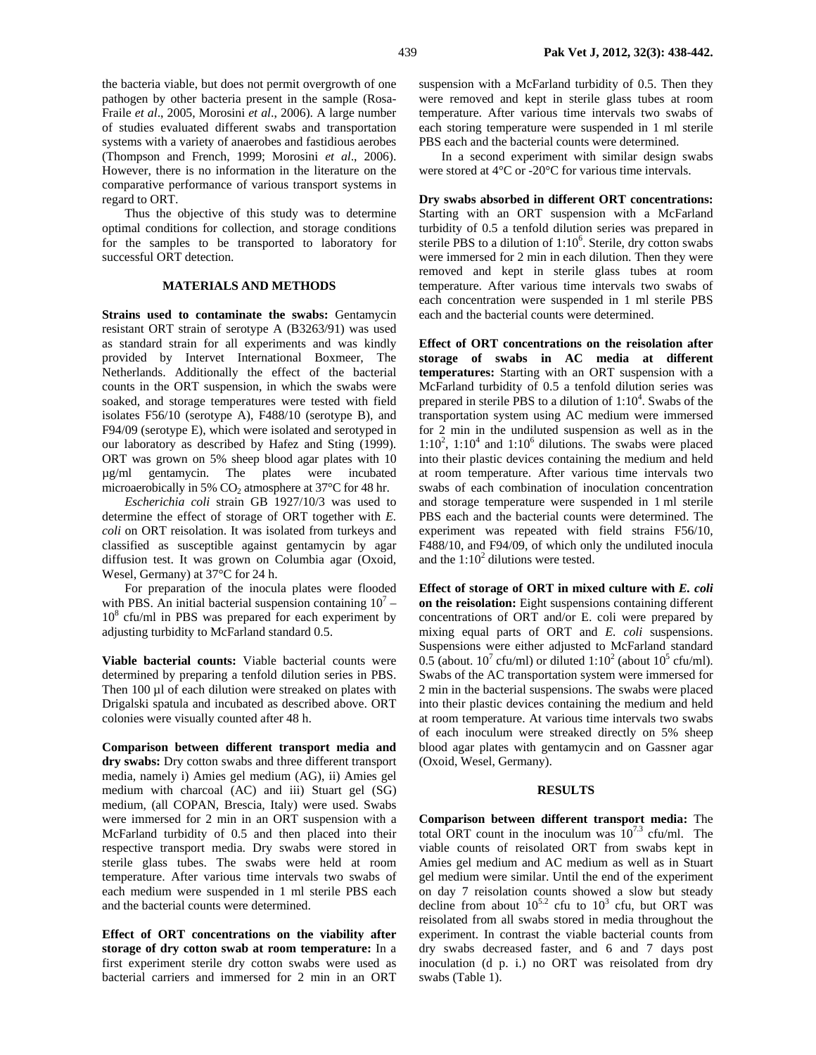the bacteria viable, but does not permit overgrowth of one pathogen by other bacteria present in the sample (Rosa-Fraile *et al*., 2005, Morosini *et al*., 2006). A large number of studies evaluated different swabs and transportation systems with a variety of anaerobes and fastidious aerobes (Thompson and French, 1999; Morosini *et al*., 2006). However, there is no information in the literature on the comparative performance of various transport systems in regard to ORT.

Thus the objective of this study was to determine optimal conditions for collection, and storage conditions for the samples to be transported to laboratory for successful ORT detection.

### **MATERIALS AND METHODS**

**Strains used to contaminate the swabs:** Gentamycin resistant ORT strain of serotype A (B3263/91) was used as standard strain for all experiments and was kindly provided by Intervet International Boxmeer, The Netherlands. Additionally the effect of the bacterial counts in the ORT suspension, in which the swabs were soaked, and storage temperatures were tested with field isolates F56/10 (serotype A), F488/10 (serotype B), and F94/09 (serotype E), which were isolated and serotyped in our laboratory as described by Hafez and Sting (1999). ORT was grown on 5% sheep blood agar plates with 10 µg/ml gentamycin. The plates were incubated microaerobically in 5%  $CO<sub>2</sub>$  atmosphere at 37 $\degree$ C for 48 hr.

*Escherichia coli* strain GB 1927/10/3 was used to determine the effect of storage of ORT together with *E. coli* on ORT reisolation. It was isolated from turkeys and classified as susceptible against gentamycin by agar diffusion test. It was grown on Columbia agar (Oxoid, Wesel, Germany) at 37°C for 24 h.

For preparation of the inocula plates were flooded with PBS. An initial bacterial suspension containing  $10^7 -$ 10<sup>8</sup> cfu/ml in PBS was prepared for each experiment by adjusting turbidity to McFarland standard 0.5.

**Viable bacterial counts:** Viable bacterial counts were determined by preparing a tenfold dilution series in PBS. Then 100 µl of each dilution were streaked on plates with Drigalski spatula and incubated as described above. ORT colonies were visually counted after 48 h.

**Comparison between different transport media and dry swabs:** Dry cotton swabs and three different transport media, namely i) Amies gel medium (AG), ii) Amies gel medium with charcoal (AC) and iii) Stuart gel (SG) medium, (all COPAN, Brescia, Italy) were used. Swabs were immersed for 2 min in an ORT suspension with a McFarland turbidity of 0.5 and then placed into their respective transport media. Dry swabs were stored in sterile glass tubes. The swabs were held at room temperature. After various time intervals two swabs of each medium were suspended in 1 ml sterile PBS each and the bacterial counts were determined.

**Effect of ORT concentrations on the viability after storage of dry cotton swab at room temperature:** In a first experiment sterile dry cotton swabs were used as bacterial carriers and immersed for 2 min in an ORT

suspension with a McFarland turbidity of 0.5. Then they were removed and kept in sterile glass tubes at room temperature. After various time intervals two swabs of each storing temperature were suspended in 1 ml sterile PBS each and the bacterial counts were determined.

In a second experiment with similar design swabs were stored at 4°C or -20°C for various time intervals.

**Dry swabs absorbed in different ORT concentrations:**  Starting with an ORT suspension with a McFarland turbidity of 0.5 a tenfold dilution series was prepared in sterile PBS to a dilution of  $1:10^6$ . Sterile, dry cotton swabs were immersed for 2 min in each dilution. Then they were removed and kept in sterile glass tubes at room temperature. After various time intervals two swabs of each concentration were suspended in 1 ml sterile PBS each and the bacterial counts were determined.

**Effect of ORT concentrations on the reisolation after storage of swabs in AC media at different temperatures:** Starting with an ORT suspension with a McFarland turbidity of 0.5 a tenfold dilution series was prepared in sterile PBS to a dilution of  $1:10^4$ . Swabs of the transportation system using AC medium were immersed for 2 min in the undiluted suspension as well as in the  $1:10^2$ ,  $1:10^4$  and  $1:10^6$  dilutions. The swabs were placed into their plastic devices containing the medium and held at room temperature. After various time intervals two swabs of each combination of inoculation concentration and storage temperature were suspended in 1 ml sterile PBS each and the bacterial counts were determined. The experiment was repeated with field strains F56/10, F488/10, and F94/09, of which only the undiluted inocula and the  $1:10^2$  dilutions were tested.

**Effect of storage of ORT in mixed culture with** *E. coli* **on the reisolation:** Eight suspensions containing different concentrations of ORT and/or E. coli were prepared by mixing equal parts of ORT and *E. coli* suspensions. Suspensions were either adjusted to McFarland standard 0.5 (about.  $10^7$  cfu/ml) or diluted  $1:10^2$  (about  $10^5$  cfu/ml). Swabs of the AC transportation system were immersed for 2 min in the bacterial suspensions. The swabs were placed into their plastic devices containing the medium and held at room temperature. At various time intervals two swabs of each inoculum were streaked directly on 5% sheep blood agar plates with gentamycin and on Gassner agar (Oxoid, Wesel, Germany).

#### **RESULTS**

**Comparison between different transport media:** The total ORT count in the inoculum was  $10^{7.3}$  cfu/ml. The viable counts of reisolated ORT from swabs kept in Amies gel medium and AC medium as well as in Stuart gel medium were similar. Until the end of the experiment on day 7 reisolation counts showed a slow but steady decline from about  $10^{5.2}$  cfu to  $10^3$  cfu, but ORT was reisolated from all swabs stored in media throughout the experiment. In contrast the viable bacterial counts from dry swabs decreased faster, and 6 and 7 days post inoculation (d p. i.) no ORT was reisolated from dry swabs (Table 1).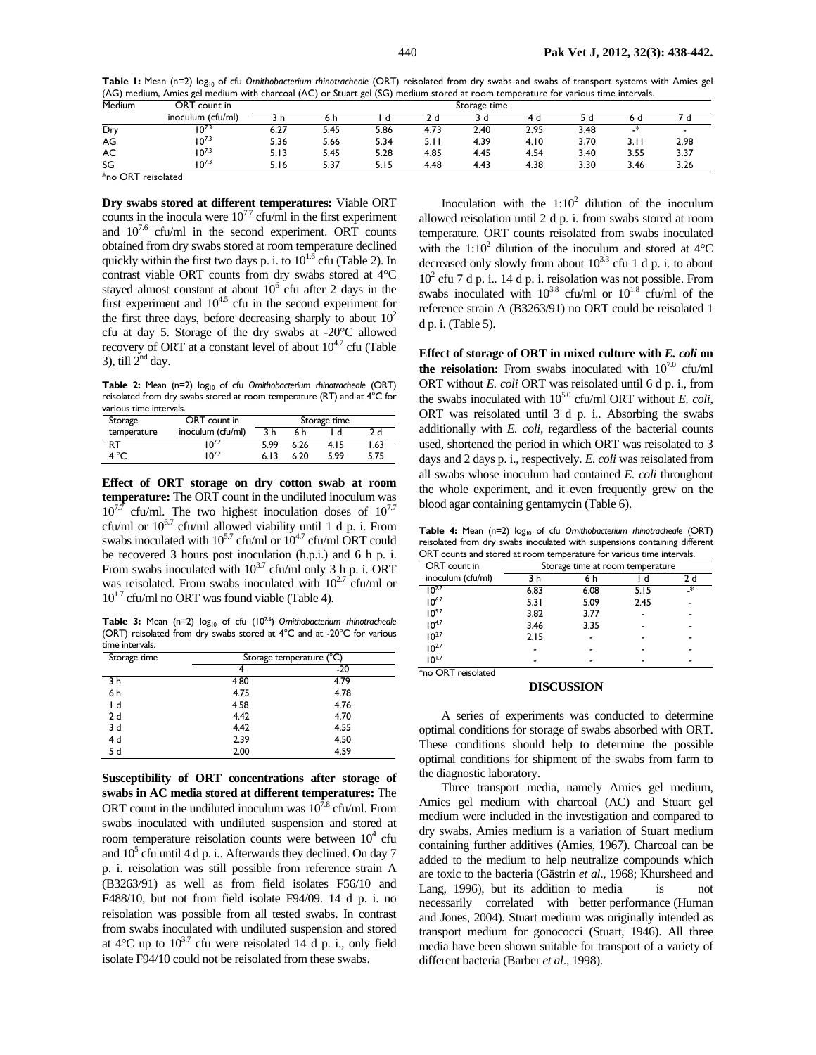Table 1: Mean (n=2) log<sub>10</sub> of cfu *Ornithobacterium rhinotracheale* (ORT) reisolated from dry swabs and swabs of transport systems with Amies gel (AG) medium, Amies gel medium with charcoal (AC) or Stuart gel (SG) medium stored at room temperature for various time intervals.

| Medium                                                            | ORT count in      | Storage time |      |        |       |      |      |      |      |                          |
|-------------------------------------------------------------------|-------------------|--------------|------|--------|-------|------|------|------|------|--------------------------|
|                                                                   | inoculum (cfu/ml) | ιn           | 6 h  | u      |       | 3 d  |      |      |      |                          |
| Dry                                                               | 107.3             | 6.27         | 5.45 | 5.86   | 4.73  | 2.40 | 2.95 | 3.48 | _*   | $\overline{\phantom{a}}$ |
| AG                                                                | $10^{7.3}$        | 5.36         | 5.66 | 5.34   | 5.I I | 4.39 | 4.10 | 3.70 | 3.11 | 2.98                     |
| AC                                                                | $10^{7.3}$        | 5.13         | 5.45 | 5.28   | 4.85  | 4.45 | 4.54 | 3.40 | 3.55 | 3.37                     |
| SG                                                                | $10^{7.3}$        | 5.16         | 5.37 | 5. I 5 | 4.48  | 4.43 | 4.38 | 3.30 | 3.46 | 3.26                     |
| $\ddot{v}$ $\Delta B$ $\ddot{v}$ $\ddot{v}$ $\ddot{v}$ $\ddot{v}$ |                   |              |      |        |       |      |      |      |      |                          |

\*no ORT reisolated

**Dry swabs stored at different temperatures:** Viable ORT counts in the inocula were  $10^{7.7}$  cfu/ml in the first experiment and  $10^{7.6}$  cfu/ml in the second experiment. ORT counts obtained from dry swabs stored at room temperature declined quickly within the first two days p. i. to  $10^{1.6}$  cfu (Table 2). In contrast viable ORT counts from dry swabs stored at 4°C stayed almost constant at about  $10^6$  cfu after 2 days in the first experiment and  $10^{4.5}$  cfu in the second experiment for the first three days, before decreasing sharply to about  $10<sup>2</sup>$ cfu at day 5. Storage of the dry swabs at -20°C allowed recovery of ORT at a constant level of about  $10^{4.7}$  cfu (Table 3), till  $2<sup>nd</sup>$  day.

Table 2: Mean (n=2) log<sub>10</sub> of cfu *Ornithobacterium rhinotracheale* (ORT) reisolated from dry swabs stored at room temperature (RT) and at 4°C for various time intervals.

| Storage     | ORT count in      | Storage time |      |      |      |  |  |
|-------------|-------------------|--------------|------|------|------|--|--|
| temperature | inoculum (cfu/ml) | 3 h          | 6 h  | d    | 2 d  |  |  |
| RT          | 7.7م۱             | 5.99         | 6.26 | 4.15 | 1.63 |  |  |
| 4 °C        | $10^{7.7}$        | 6.13         | 6.20 | 5.99 | 5.75 |  |  |

**Effect of ORT storage on dry cotton swab at room temperature:** The ORT count in the undiluted inoculum was  $10^{7.7}$  cfu/ml. The two highest inoculation doses of  $10^{7.7}$ cfu/ml or  $10^{6.7}$  cfu/ml allowed viability until 1 d p. i. From swabs inoculated with  $10^{5.7}$  cfu/ml or  $10^{4.7}$  cfu/ml ORT could be recovered 3 hours post inoculation (h.p.i.) and 6 h p. i. From swabs inoculated with  $10^{3.7}$  cfu/ml only 3 h p. i. ORT was reisolated. From swabs inoculated with  $10^{2.7}$  cfu/ml or  $10^{1.7}$  cfu/ml no ORT was found viable (Table 4).

Table 3: Mean (n=2)  $log_{10}$  of cfu (10<sup>7.6</sup>) *Ornithobacterium rhinotracheale* (ORT) reisolated from dry swabs stored at 4°C and at -20°C for various time intervals.

| Storage time | Storage temperature (°C) |       |  |  |  |
|--------------|--------------------------|-------|--|--|--|
|              |                          | $-20$ |  |  |  |
| 3 h          | 4.80                     | 4.79  |  |  |  |
| 6 h          | 4.75                     | 4.78  |  |  |  |
| Ιd           | 4.58                     | 4.76  |  |  |  |
| 2d           | 4.42                     | 4.70  |  |  |  |
| 3 d          | 4.42                     | 4.55  |  |  |  |
| 4 d          | 2.39                     | 4.50  |  |  |  |
| 5 d          | 2.00                     | 4.59  |  |  |  |

**Susceptibility of ORT concentrations after storage of swabs in AC media stored at different temperatures:** The ORT count in the undiluted inoculum was  $10^{7.8}$  cfu/ml. From swabs inoculated with undiluted suspension and stored at room temperature reisolation counts were between  $10^4$  cfu and  $10<sup>5</sup>$  cfu until 4 d p. i.. Afterwards they declined. On day 7 p. i. reisolation was still possible from reference strain A (B3263/91) as well as from field isolates F56/10 and F488/10, but not from field isolate F94/09. 14 d p. i. no reisolation was possible from all tested swabs. In contrast from swabs inoculated with undiluted suspension and stored at  $4^{\circ}$ C up to  $10^{3.7}$  cfu were reisolated 14 d p. i., only field isolate F94/10 could not be reisolated from these swabs.

Inoculation with the  $1:10^2$  dilution of the inoculum allowed reisolation until 2 d p. i. from swabs stored at room temperature. ORT counts reisolated from swabs inoculated with the 1:10<sup>2</sup> dilution of the inoculum and stored at  $4^{\circ}$ C decreased only slowly from about  $10^{3.3}$  cfu 1 d p. i. to about 102 cfu 7 d p. i.. 14 d p. i. reisolation was not possible. From swabs inoculated with  $10^{3.8}$  cfu/ml or  $10^{1.8}$  cfu/ml of the reference strain A (B3263/91) no ORT could be reisolated 1 d p. i. (Table 5).

**Effect of storage of ORT in mixed culture with** *E. coli* **on**  the reisolation: From swabs inoculated with  $10^{7.0}$  cfu/ml ORT without *E. coli* ORT was reisolated until 6 d p. i., from the swabs inoculated with  $10^{5.0}$  cfu/ml ORT without *E. coli*, ORT was reisolated until 3 d p. i.. Absorbing the swabs additionally with *E. coli*, regardless of the bacterial counts used, shortened the period in which ORT was reisolated to 3 days and 2 days p. i., respectively. *E. coli* was reisolated from all swabs whose inoculum had contained *E. coli* throughout the whole experiment, and it even frequently grew on the blood agar containing gentamycin (Table 6).

Table 4: Mean (n=2) log<sub>10</sub> of cfu *Ornithobacterium rhinotracheale* (ORT) reisolated from dry swabs inoculated with suspensions containing different ORT counts and stored at room temperature for various time intervals.

| ORT count in      | Storage time at room temperature |      |      |     |  |  |  |
|-------------------|----------------------------------|------|------|-----|--|--|--|
| inoculum (cfu/ml) | 3 h                              | 6 h  | d    | 2 d |  |  |  |
| $10^{7.7}$        | 6.83                             | 6.08 | 5.15 | ∗   |  |  |  |
| $10^{6.7}$        | 5.31                             | 5.09 | 2.45 |     |  |  |  |
| $10^{5.7}$        | 3.82                             | 3.77 |      |     |  |  |  |
| $10^{4.7}$        | 3.46                             | 3.35 |      |     |  |  |  |
| $10^{3.7}$        | 2.15                             |      |      |     |  |  |  |
| $10^{27}$         |                                  |      |      |     |  |  |  |
| $10^{1.7}$        |                                  |      |      |     |  |  |  |

\*no ORT reisolated

#### **DISCUSSION**

A series of experiments was conducted to determine optimal conditions for storage of swabs absorbed with ORT. These conditions should help to determine the possible optimal conditions for shipment of the swabs from farm to the diagnostic laboratory.

Three transport media, namely Amies gel medium, Amies gel medium with charcoal (AC) and Stuart gel medium were included in the investigation and compared to dry swabs. Amies medium is a variation of Stuart medium containing further additives (Amies, 1967). Charcoal can be added to the medium to help neutralize compounds which are toxic to the bacteria (Gästrin *et al*., 1968; Khursheed and Lang, 1996), but its addition to media is necessarily correlated with better performance (Human and Jones, 2004). Stuart medium was originally intended as transport medium for gonococci (Stuart, 1946). All three media have been shown suitable for transport of a variety of different bacteria (Barber *et al*., 1998).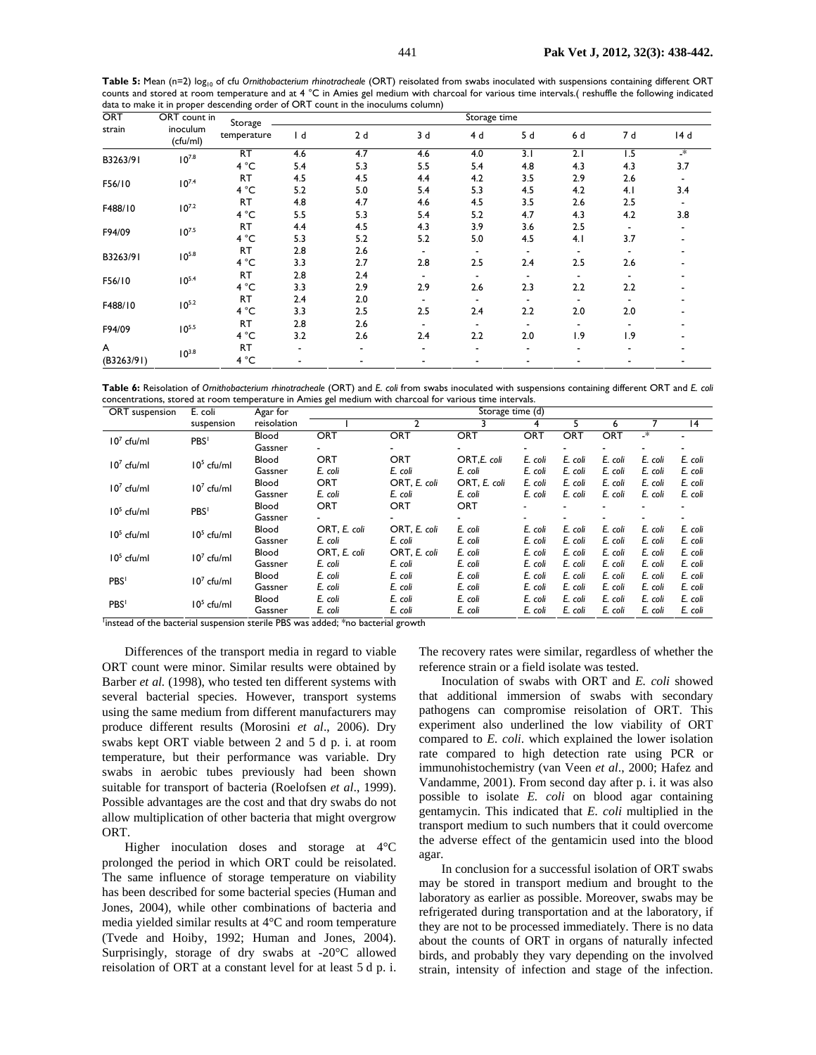Table 5: Mean (n=2) log<sub>10</sub> of cfu *Ornithobacterium rhinotracheale* (ORT) reisolated from swabs inoculated with suspensions containing different ORT counts and stored at room temperature and at 4 °C in Amies gel medium with charcoal for various time intervals.( reshuffle the following indicated data to make it in proper descending order of ORT count in the inoculums column)

| ORT        | ORT count in<br>inoculum<br>(cfu/ml) | Storage     | Storage time |     |     |                          |                |      |                  |           |  |
|------------|--------------------------------------|-------------|--------------|-----|-----|--------------------------|----------------|------|------------------|-----------|--|
| strain     |                                      | temperature | $\mathsf{I}$ | 2d  | 3d  | 4 d                      | 5 d            | 6 d  | 7 d              | 14 d      |  |
| B3263/91   | $10^{7.8}$                           | RT          | 4.6          | 4.7 | 4.6 | 4.0                      | 3.1            | 2.1  | $\overline{1.5}$ | $\cdot^*$ |  |
|            |                                      | 4 °C        | 5.4          | 5.3 | 5.5 | 5.4                      | 4.8            | 4.3  | 4.3              | 3.7       |  |
| F56/10     | $10^{7.4}$                           | RT          | 4.5          | 4.5 | 4.4 | 4.2                      | 3.5            | 2.9  | 2.6              |           |  |
|            |                                      | 4 °C        | 5.2          | 5.0 | 5.4 | 5.3                      | 4.5            | 4.2  | 4.1              | 3.4       |  |
| F488/10    | $10^{7.2}$                           | RT          | 4.8          | 4.7 | 4.6 | 4.5                      | 3.5            | 2.6  | 2.5              |           |  |
|            |                                      | 4 °C        | 5.5          | 5.3 | 5.4 | 5.2                      | 4.7            | 4.3  | 4.2              | 3.8       |  |
| F94/09     | $10^{7.5}$                           | <b>RT</b>   | 4.4          | 4.5 | 4.3 | 3.9                      | 3.6            | 2.5  |                  |           |  |
|            |                                      | 4 °C        | 5.3          | 5.2 | 5.2 | 5.0                      | 4.5            | 4.1  | 3.7              |           |  |
| B3263/91   | $10^{5.8}$                           | <b>RT</b>   | 2.8          | 2.6 |     | $\overline{\phantom{a}}$ | $\blacksquare$ |      |                  |           |  |
|            |                                      | 4 °C        | 3.3          | 2.7 | 2.8 | 2.5                      | 2.4            | 2.5  | 2.6              |           |  |
|            | $10^{5.4}$                           | <b>RT</b>   | 2.8          | 2.4 |     | $\overline{\phantom{a}}$ |                |      |                  |           |  |
| F56/10     |                                      | 4 °C        | 3.3          | 2.9 | 2.9 | 2.6                      | 2.3            | 2.2  | 2.2              |           |  |
|            | $10^{5.2}$                           | <b>RT</b>   | 2.4          | 2.0 |     |                          |                |      |                  |           |  |
| F488/10    |                                      | 4 °C        | 3.3          | 2.5 | 2.5 | 2.4                      | 2.2            | 2.0  | 2.0              |           |  |
|            | $10^{5.5}$                           | <b>RT</b>   | 2.8          | 2.6 |     | $\overline{\phantom{a}}$ |                |      |                  |           |  |
| F94/09     |                                      | 4 °C        | 3.2          | 2.6 | 2.4 | 2.2                      | 2.0            | و. ا | 1.9              |           |  |
| A          |                                      | <b>RT</b>   |              | -   |     |                          | ٠              |      |                  |           |  |
| (B3263/91) | $10^{3.8}$                           | 4 °C        | ٠            |     |     |                          |                |      |                  |           |  |

**Table 6:** Reisolation of *Ornithobacterium rhinotracheale* (ORT) and *E. coli* from swabs inoculated with suspensions containing different ORT and *E. coli* concentrations, stored at room temperature in Amies gel medium with charcoal for various time intervals.

| ORT suspension   | E. coli          | Agar for    | Storage time (d) |              |              |            |         |         |         |         |
|------------------|------------------|-------------|------------------|--------------|--------------|------------|---------|---------|---------|---------|
|                  | suspension       | reisolation |                  | 2            |              |            |         |         |         | 14      |
| $107$ cfu/ml     | PBS <sup>1</sup> | Blood       | <b>ORT</b>       | <b>ORT</b>   | ORT          | <b>ORT</b> | ORT     | ORT     | _*      |         |
|                  |                  | Gassner     | -                |              |              |            |         |         |         |         |
| $107$ cfu/ml     | $105$ cfu/ml     | Blood       | <b>ORT</b>       | <b>ORT</b>   | ORT,E. coli  | E. coli    | E. coli | E. coli | E. coli | E. coli |
|                  |                  | Gassner     | E. coli          | E. coli      | E. coli      | E. coli    | E. coli | E. coli | E. coli | E. coli |
| $107$ cfu/ml     | $107$ cfu/ml     | Blood       | ORT              | ORT, E. coli | ORT, E. coli | E. coli    | E. coli | E. coli | E. coli | E. coli |
|                  |                  | Gassner     | E. coli          | E. coli      | E. coli      | E. coli    | E. coli | E. coli | E. coli | E. coli |
| $105$ cfu/ml     | PBS <sup>1</sup> | Blood       | ORT              | <b>ORT</b>   | ORT          |            |         |         |         |         |
|                  |                  | Gassner     |                  |              |              |            |         |         |         |         |
| $105$ cfu/ml     | $105$ cfu/ml     | Blood       | ORT, E. coli     | ORT, E. coli | E. coli      | E. coli    | E. coli | E. coli | E. coli | E. coli |
|                  |                  | Gassner     | E. coli          | E. coli      | E. coli      | E. coli    | E. coli | E. coli | E. coli | E. coli |
| $105$ cfu/ml     | $107$ cfu/ml     | Blood       | ORT, E. coli     | ORT, E. coli | E. coli      | E. coli    | E. coli | E. coli | E. coli | E. coli |
|                  |                  | Gassner     | E. coli          | E. coli      | E. coli      | E. coli    | E. coli | E. coli | E. coli | E. coli |
| PBS <sup>1</sup> | $107$ cfu/ml     | Blood       | E. coli          | E. coli      | E. coli      | E. coli    | E. coli | E. coli | E. coli | E. coli |
|                  |                  | Gassner     | E. coli          | E. coli      | E. coli      | E. coli    | E. coli | E. coli | E. coli | E. coli |
| PBS <sup>1</sup> | $105$ cfu/ml     | Blood       | E. coli          | E. coli      | E. coli      | E. coli    | E. coli | E. coli | E. coli | E. coli |
|                  |                  | Gassner     | E. coli          | E. coli      | E. coli      | E. coli    | E. coli | E. coli | E. coli | E. coli |

<sup>1</sup>instead of the bacterial suspension sterile PBS was added; \*no bacterial growth

Differences of the transport media in regard to viable ORT count were minor. Similar results were obtained by Barber *et al.* (1998), who tested ten different systems with several bacterial species. However, transport systems using the same medium from different manufacturers may produce different results (Morosini *et al*., 2006). Dry swabs kept ORT viable between 2 and 5 d p. i. at room temperature, but their performance was variable. Dry swabs in aerobic tubes previously had been shown suitable for transport of bacteria (Roelofsen *et al*., 1999). Possible advantages are the cost and that dry swabs do not allow multiplication of other bacteria that might overgrow ORT.

Higher inoculation doses and storage at 4°C prolonged the period in which ORT could be reisolated. The same influence of storage temperature on viability has been described for some bacterial species (Human and Jones, 2004), while other combinations of bacteria and media yielded similar results at 4°C and room temperature (Tvede and Hoiby, 1992; Human and Jones, 2004). Surprisingly, storage of dry swabs at -20°C allowed reisolation of ORT at a constant level for at least 5 d p. i.

The recovery rates were similar, regardless of whether the reference strain or a field isolate was tested.

Inoculation of swabs with ORT and *E. coli* showed that additional immersion of swabs with secondary pathogens can compromise reisolation of ORT. This experiment also underlined the low viability of ORT compared to *E. coli*. which explained the lower isolation rate compared to high detection rate using PCR or immunohistochemistry (van Veen *et al*., 2000; Hafez and Vandamme, 2001). From second day after p. i. it was also possible to isolate *E. coli* on blood agar containing gentamycin. This indicated that *E. coli* multiplied in the transport medium to such numbers that it could overcome the adverse effect of the gentamicin used into the blood agar.

In conclusion for a successful isolation of ORT swabs may be stored in transport medium and brought to the laboratory as earlier as possible. Moreover, swabs may be refrigerated during transportation and at the laboratory, if they are not to be processed immediately. There is no data about the counts of ORT in organs of naturally infected birds, and probably they vary depending on the involved strain, intensity of infection and stage of the infection.